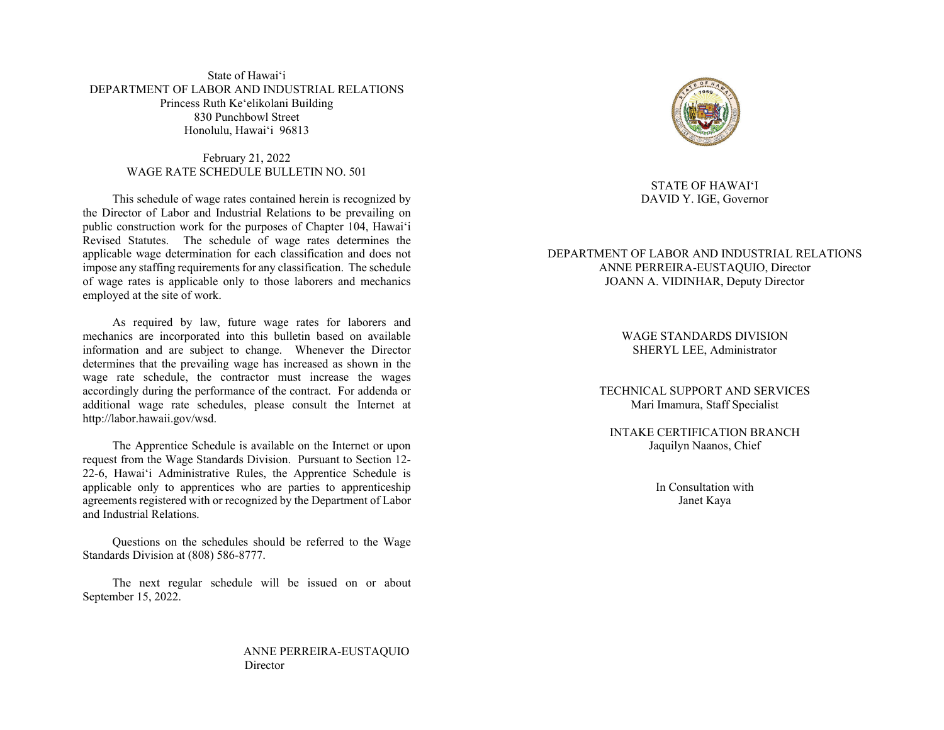State of Hawai'i DEPARTMENT OF LABOR AND INDUSTRIAL RELATIONS Princess Ruth Ke'elikolani Building 830 Punchbowl Street Honolulu, Hawai'i 96813

> February 21, 2022 WAGE RATE SCHEDULE BULLETIN NO. 501

 This schedule of wage rates contained herein is recognized by the Director of Labor and Industrial Relations to be prevailing on public construction work for the purposes of Chapter 104, Hawai'i Revised Statutes. The schedule of wage rates determines the applicable wage determination for each classification and does not impose any staffing requirements for any classification. The schedule of wage rates is applicable only to those laborers and mechanics employed at the site of work.

 As required by law, future wage rates for laborers and mechanics are incorporated into this bulletin based on available information and are subject to change. Whenever the Director determines that the prevailing wage has increased as shown in the wage rate schedule, the contractor must increase the wages accordingly during the performance of the contract. For addenda or additional wage rate schedules, please consult the Internet at http://labor.hawaii.gov/wsd.

 The Apprentice Schedule is available on the Internet or upon request from the Wage Standards Division. Pursuant to Section 12- 22-6, Hawai'i Administrative Rules, the Apprentice Schedule is applicable only to apprentices who are parties to apprenticeship agreements registered with or recognized by the Department of Labor and Industrial Relations.

 Questions on the schedules should be referred to the Wage Standards Division at (808) 586-8777.

 The next regular schedule will be issued on or about September 15, 2022.

> ANNE PERREIRA-EUSTAQUIO **Director**



# STATE OF HAWAI'I DAVID Y. IGE, Governor

# DEPARTMENT OF LABOR AND INDUSTRIAL RELATIONS ANNE PERREIRA-EUSTAQUIO, Director JOANN A. VIDINHAR, Deputy Director

WAGE STANDARDS DIVISION SHERYL LEE, Administrator

TECHNICAL SUPPORT AND SERVICES Mari Imamura, Staff Specialist

INTAKE CERTIFICATION BRANCH Jaquilyn Naanos, Chief

> In Consultation with Janet Kaya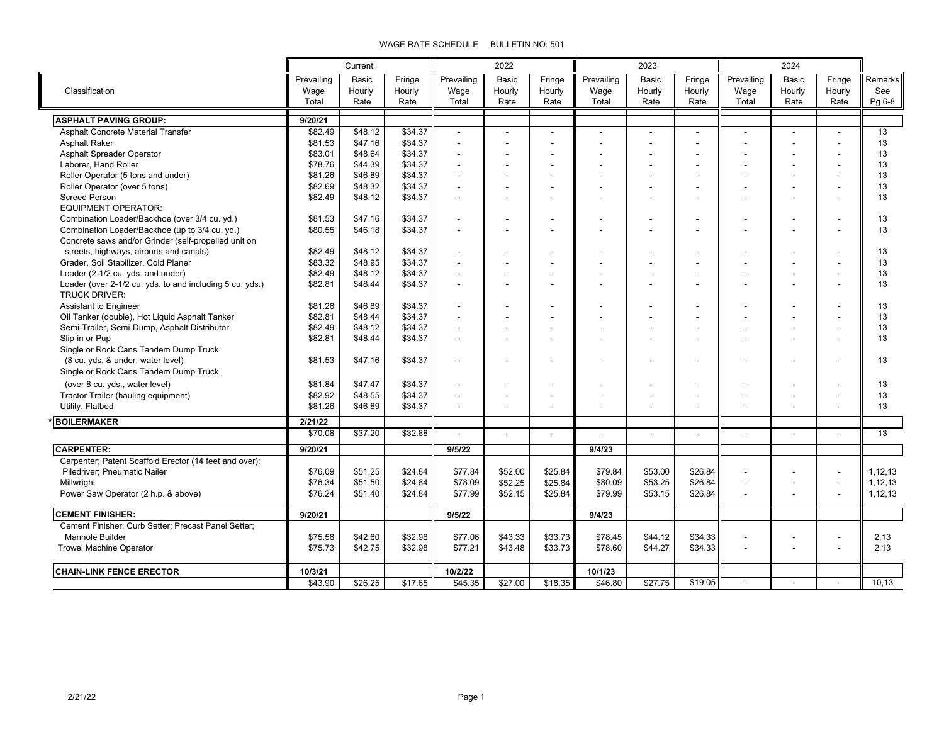|                                                          | Current    |         | 2022    |            |                | 2023                     |                |                | 2024    |                |        |                          |         |
|----------------------------------------------------------|------------|---------|---------|------------|----------------|--------------------------|----------------|----------------|---------|----------------|--------|--------------------------|---------|
|                                                          | Prevailing | Basic   | Fringe  | Prevailing | Basic          | Fringe                   | Prevailing     | Basic          | Fringe  | Prevailing     | Basic  | Fringe                   | Remarks |
| Classification                                           | Wage       | Hourly  | Hourly  | Wage       | Hourly         | Hourly                   | Wage           | Hourly         | Hourly  | Wage           | Hourly | Hourly                   | See     |
|                                                          | Total      | Rate    | Rate    | Total      | Rate           | Rate                     | Total          | Rate           | Rate    | Total          | Rate   | Rate                     | Pg 6-8  |
| <b>ASPHALT PAVING GROUP:</b>                             | 9/20/21    |         |         |            |                |                          |                |                |         |                |        |                          |         |
| Asphalt Concrete Material Transfer                       | \$82.49    | \$48.12 | \$34.37 |            | $\blacksquare$ |                          | $\overline{a}$ |                |         |                |        |                          | 13      |
| <b>Asphalt Raker</b>                                     | \$81.53    | \$47.16 | \$34.37 |            | L,             |                          |                |                |         |                |        | $\overline{a}$           | 13      |
| Asphalt Spreader Operator                                | \$83.01    | \$48.64 | \$34.37 | J.         | L,             |                          |                |                |         |                |        | $\overline{a}$           | 13      |
| Laborer, Hand Roller                                     | \$78.76    | \$44.39 | \$34.37 |            |                |                          |                |                |         |                |        |                          | 13      |
| Roller Operator (5 tons and under)                       | \$81.26    | \$46.89 | \$34.37 |            |                |                          |                |                |         |                |        |                          | 13      |
| Roller Operator (over 5 tons)                            | \$82.69    | \$48.32 | \$34.37 |            |                |                          |                |                |         |                |        |                          | 13      |
| <b>Screed Person</b>                                     | \$82.49    | \$48.12 | \$34.37 |            |                |                          |                |                |         |                |        |                          | 13      |
| <b>EQUIPMENT OPERATOR:</b>                               |            |         |         |            |                |                          |                |                |         |                |        |                          |         |
| Combination Loader/Backhoe (over 3/4 cu. yd.)            | \$81.53    | \$47.16 | \$34.37 |            |                |                          |                |                |         |                |        |                          | 13      |
| Combination Loader/Backhoe (up to 3/4 cu. yd.)           | \$80.55    | \$46.18 | \$34.37 |            |                |                          |                |                |         |                |        |                          | 13      |
| Concrete saws and/or Grinder (self-propelled unit on     |            |         |         |            |                |                          |                |                |         |                |        |                          |         |
| streets, highways, airports and canals)                  | \$82.49    | \$48.12 | \$34.37 |            |                |                          |                |                |         |                |        |                          | 13      |
| Grader, Soil Stabilizer, Cold Planer                     | \$83.32    | \$48.95 | \$34.37 |            |                |                          |                |                |         |                |        |                          | 13      |
| Loader (2-1/2 cu. yds. and under)                        | \$82.49    | \$48.12 | \$34.37 |            |                |                          |                |                |         |                |        |                          | 13      |
| Loader (over 2-1/2 cu. yds. to and including 5 cu. yds.) | \$82.81    | \$48.44 | \$34.37 |            |                |                          |                |                |         |                |        |                          | 13      |
| <b>TRUCK DRIVER:</b>                                     |            |         |         |            |                |                          |                |                |         |                |        |                          |         |
| Assistant to Engineer                                    | \$81.26    | \$46.89 | \$34.37 |            | ٠              |                          |                |                |         |                |        |                          | 13      |
| Oil Tanker (double), Hot Liquid Asphalt Tanker           | \$82.81    | \$48.44 | \$34.37 |            | ٠              |                          |                |                |         |                |        |                          | 13      |
| Semi-Trailer, Semi-Dump, Asphalt Distributor             | \$82.49    | \$48.12 | \$34.37 |            | $\blacksquare$ | ۰                        |                |                |         |                |        |                          | 13      |
| Slip-in or Pup                                           | \$82.81    | \$48.44 | \$34.37 |            |                |                          |                |                |         |                |        |                          | 13      |
| Single or Rock Cans Tandem Dump Truck                    |            |         |         |            |                |                          |                |                |         |                |        |                          |         |
| (8 cu. yds. & under, water level)                        | \$81.53    | \$47.16 | \$34.37 |            | ٠              |                          |                |                |         |                |        |                          | 13      |
| Single or Rock Cans Tandem Dump Truck                    |            |         |         |            |                |                          |                |                |         |                |        |                          |         |
| (over 8 cu. yds., water level)                           | \$81.84    | \$47.47 | \$34.37 |            |                |                          |                |                |         |                |        |                          | 13      |
| Tractor Trailer (hauling equipment)                      | \$82.92    | \$48.55 | \$34.37 |            | $\blacksquare$ | $\blacksquare$           |                | $\blacksquare$ |         |                |        |                          | 13      |
| Utility, Flatbed                                         | \$81.26    | \$46.89 | \$34.37 |            |                |                          |                |                |         |                |        |                          | 13      |
| <b>BOILERMAKER</b>                                       | 2/21/22    |         |         |            |                |                          |                |                |         |                |        |                          |         |
|                                                          | \$70.08    | \$37.20 | \$32.88 |            | $\overline{a}$ | $\overline{\phantom{a}}$ | $\overline{a}$ |                |         |                |        |                          | 13      |
| <b>CARPENTER:</b>                                        | 9/20/21    |         |         | 9/5/22     |                |                          | 9/4/23         |                |         |                |        |                          |         |
| Carpenter; Patent Scaffold Erector (14 feet and over);   |            |         |         |            |                |                          |                |                |         |                |        |                          |         |
| Piledriver; Pneumatic Nailer                             | \$76.09    | \$51.25 | \$24.84 | \$77.84    | \$52.00        | \$25.84                  | \$79.84        | \$53.00        | \$26.84 |                |        |                          | 1,12,13 |
| Millwright                                               | \$76.34    | \$51.50 | \$24.84 | \$78.09    | \$52.25        | \$25.84                  | \$80.09        | \$53.25        | \$26.84 |                |        | $\overline{\phantom{a}}$ | 1,12,13 |
| Power Saw Operator (2 h.p. & above)                      | \$76.24    | \$51.40 | \$24.84 | \$77.99    | \$52.15        | \$25.84                  | \$79.99        | \$53.15        | \$26.84 |                |        |                          | 1,12,13 |
|                                                          |            |         |         |            |                |                          |                |                |         |                |        |                          |         |
| <b>CEMENT FINISHER:</b>                                  | 9/20/21    |         |         | 9/5/22     |                |                          | 9/4/23         |                |         |                |        |                          |         |
| Cement Finisher; Curb Setter; Precast Panel Setter;      |            |         |         |            |                |                          |                |                |         |                |        |                          |         |
| Manhole Builder                                          | \$75.58    | \$42.60 | \$32.98 | \$77.06    | \$43.33        | \$33.73                  | \$78.45        | \$44.12        | \$34.33 |                |        |                          | 2,13    |
| <b>Trowel Machine Operator</b>                           | \$75.73    | \$42.75 | \$32.98 | \$77.21    | \$43.48        | \$33.73                  | \$78.60        | \$44.27        | \$34.33 | $\blacksquare$ | ٠      | $\overline{\phantom{a}}$ | 2,13    |
|                                                          |            |         |         |            |                |                          |                |                |         |                |        |                          |         |
| <b>CHAIN-LINK FENCE ERECTOR</b>                          | 10/3/21    |         |         | 10/2/22    |                |                          | 10/1/23        |                |         |                |        |                          |         |
|                                                          | \$43.90    | \$26.25 | \$17.65 | \$45.35    | \$27.00        | \$18.35                  | \$46.80        | \$27.75        | \$19.05 |                |        | $\blacksquare$           | 10,13   |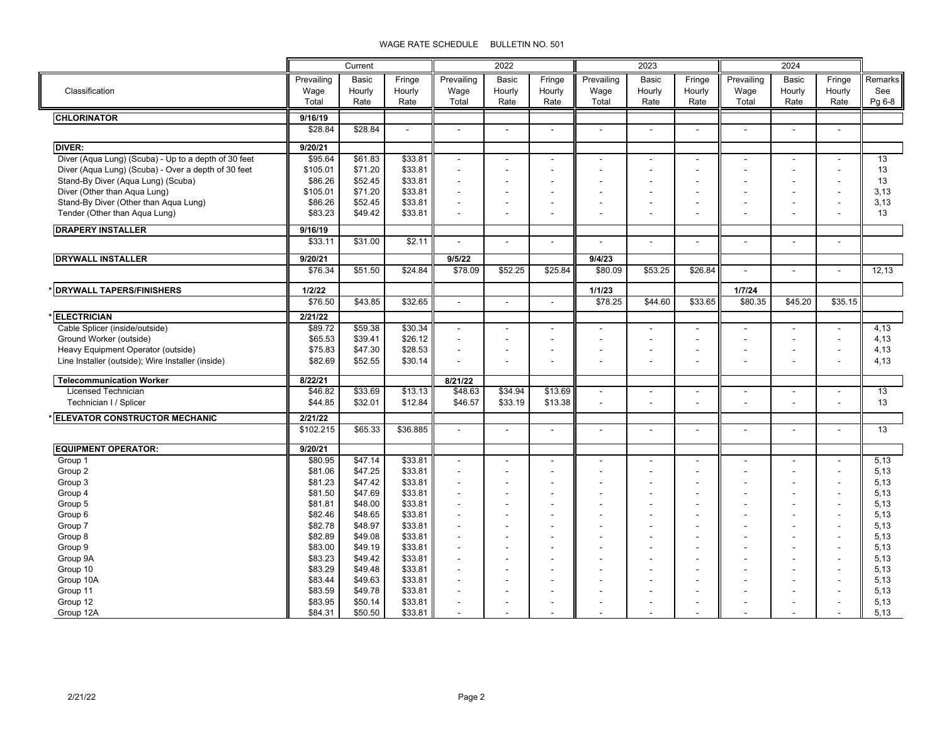|                                                      |            | Current         |                          | 2022                     |                | 2023                     |                          |                          | 2024                     |                |                |                          |         |
|------------------------------------------------------|------------|-----------------|--------------------------|--------------------------|----------------|--------------------------|--------------------------|--------------------------|--------------------------|----------------|----------------|--------------------------|---------|
|                                                      |            |                 |                          |                          |                |                          |                          |                          |                          |                |                |                          |         |
|                                                      | Prevailing | Basic           | Fringe                   | Prevailing               | Basic          | Fringe                   | Prevailing               | Basic                    | Fringe                   | Prevailing     | Basic          | Fringe                   | Remarks |
| Classification                                       | Wage       | Hourly          | Hourly                   | Wage                     | Hourly         | Hourly                   | Wage                     | Hourly                   | Hourly                   | Wage           | Hourly         | Hourly                   | See     |
|                                                      | Total      | Rate            | Rate                     | Total                    | Rate           | Rate                     | Total                    | Rate                     | Rate                     | Total          | Rate           | Rate                     | Pg 6-8  |
| <b>CHLORINATOR</b>                                   | 9/16/19    |                 |                          |                          |                |                          |                          |                          |                          |                |                |                          |         |
|                                                      | \$28.84    | \$28.84         | $\overline{\phantom{a}}$ | $\overline{a}$           | $\mathbf{r}$   | $\overline{a}$           | $\overline{\phantom{a}}$ | $\blacksquare$           | $\blacksquare$           | $\mathbf{r}$   | $\overline{a}$ | $\overline{\phantom{a}}$ |         |
| <b>DIVER:</b>                                        | 9/20/21    |                 |                          |                          |                |                          |                          |                          |                          |                |                |                          |         |
| Diver (Aqua Lung) (Scuba) - Up to a depth of 30 feet | \$95.64    | \$61.83         | \$33.81                  | L,                       |                |                          |                          |                          |                          |                | $\blacksquare$ | $\blacksquare$           | 13      |
| Diver (Aqua Lung) (Scuba) - Over a depth of 30 feet  | \$105.01   | \$71.20         | \$33.81                  | $\blacksquare$           |                |                          |                          | L,                       |                          |                | ÷,             | $\blacksquare$           | 13      |
| Stand-By Diver (Aqua Lung) (Scuba)                   | \$86.26    | \$52.45         | \$33.81                  | $\blacksquare$           |                |                          |                          |                          |                          |                |                |                          | 13      |
| Diver (Other than Aqua Lung)                         | \$105.01   | \$71.20         | \$33.81                  |                          |                |                          |                          |                          |                          |                |                |                          | 3,13    |
| Stand-By Diver (Other than Aqua Lung)                | \$86.26    | \$52.45         | \$33.81                  | $\overline{\phantom{a}}$ |                |                          |                          | $\blacksquare$           | ٠                        |                |                |                          | 3,13    |
| Tender (Other than Aqua Lung)                        | \$83.23    | \$49.42         | \$33.81                  |                          |                |                          |                          |                          |                          |                |                |                          | 13      |
|                                                      |            |                 |                          |                          |                |                          |                          |                          |                          |                |                |                          |         |
| <b>DRAPERY INSTALLER</b>                             | 9/16/19    |                 |                          |                          |                |                          |                          |                          |                          |                |                |                          |         |
|                                                      | \$33.11    | \$31.00         | \$2.11                   | $\blacksquare$           | $\blacksquare$ | $\overline{\phantom{a}}$ |                          | $\overline{\phantom{a}}$ | $\blacksquare$           | $\overline{a}$ | $\blacksquare$ | $\blacksquare$           |         |
| <b>DRYWALL INSTALLER</b>                             | 9/20/21    |                 |                          | 9/5/22                   |                |                          | 9/4/23                   |                          |                          |                |                |                          |         |
|                                                      | \$76.34    | \$51.50         | \$24.84                  | \$78.09                  | \$52.25        | \$25.84                  | \$80.09                  | \$53.25                  | \$26.84                  | ÷,             | $\blacksquare$ | $\sim$                   | 12,13   |
| <b>DRYWALL TAPERS/FINISHERS</b>                      | 1/2/22     |                 |                          |                          |                |                          | 1/1/23                   |                          |                          | 1/7/24         |                |                          |         |
|                                                      | \$76.50    | \$43.85         | \$32.65                  | $\mathbf{r}$             | $\overline{a}$ | $\sim$                   | \$78.25                  | \$44.60                  | \$33.65                  | \$80.35        | \$45.20        | \$35.15                  |         |
|                                                      |            |                 |                          |                          |                |                          |                          |                          |                          |                |                |                          |         |
| <b>ELECTRICIAN</b>                                   | 2/21/22    |                 |                          |                          |                |                          |                          |                          |                          |                |                |                          |         |
| Cable Splicer (inside/outside)                       | \$89.72    | \$59.38         | \$30.34                  | $\blacksquare$           |                |                          |                          |                          |                          |                |                |                          | 4,13    |
| Ground Worker (outside)                              | \$65.53    | \$39.41         | \$26.12                  | $\overline{a}$           |                |                          |                          | ÷.                       |                          |                | ÷              | $\overline{a}$           | 4,13    |
| Heavy Equipment Operator (outside)                   | \$75.83    | \$47.30         | \$28.53                  | $\overline{a}$           |                |                          |                          |                          |                          |                |                |                          | 4,13    |
| Line Installer (outside); Wire Installer (inside)    | \$82.69    | \$52.55         | \$30.14                  |                          |                |                          |                          | ٠                        | $\overline{\phantom{a}}$ |                |                |                          | 4,13    |
| <b>Telecommunication Worker</b>                      | 8/22/21    |                 |                          | 8/21/22                  |                |                          |                          |                          |                          |                |                |                          |         |
| <b>Licensed Technician</b>                           | \$46.82    | \$33.69         | \$13.13                  | \$48.63                  | \$34.94        | \$13.69                  | $\blacksquare$           | $\overline{\phantom{a}}$ | $\overline{\phantom{a}}$ |                | $\blacksquare$ | $\blacksquare$           | 13      |
| Technician I / Splicer                               | \$44.85    | \$32.01         | \$12.84                  | \$46.57                  | \$33.19        | \$13.38                  |                          |                          |                          |                |                |                          | 13      |
| <b>ELEVATOR CONSTRUCTOR MECHANIC</b>                 | 2/21/22    |                 |                          |                          |                |                          |                          |                          |                          |                |                |                          |         |
|                                                      | \$102.215  | \$65.33         | \$36.885                 | $\blacksquare$           | $\blacksquare$ | $\blacksquare$           | $\blacksquare$           | $\blacksquare$           | $\blacksquare$           | $\frac{1}{2}$  | $\blacksquare$ | $\blacksquare$           | 13      |
|                                                      |            |                 |                          |                          |                |                          |                          |                          |                          |                |                |                          |         |
| <b>EQUIPMENT OPERATOR:</b>                           | 9/20/21    |                 |                          |                          |                |                          |                          |                          |                          |                |                |                          |         |
| Group 1                                              | \$80.95    | $\sqrt{347.14}$ | \$33.81                  | $\blacksquare$           |                |                          |                          |                          |                          |                | ÷              | $\sim$                   | 5,13    |
| Group 2                                              | \$81.06    | \$47.25         | \$33.81                  | $\overline{a}$           |                |                          |                          |                          |                          |                |                |                          | 5,13    |
| Group 3                                              | \$81.23    | \$47.42         | \$33.81                  | $\overline{a}$           |                |                          |                          |                          |                          |                |                |                          | 5,13    |
| Group 4                                              | \$81.50    | \$47.69         | \$33.81                  |                          |                |                          |                          |                          |                          |                |                |                          | 5,13    |
| Group 5                                              | \$81.81    | \$48.00         | \$33.81                  | $\blacksquare$           |                |                          |                          |                          |                          |                | ÷              |                          | 5,13    |
| Group 6                                              | \$82.46    | \$48.65         | \$33.81                  |                          |                |                          |                          |                          |                          |                |                |                          | 5,13    |
| Group 7                                              | \$82.78    | \$48.97         | \$33.81                  |                          |                |                          |                          |                          |                          |                |                |                          | 5,13    |
| Group 8                                              | \$82.89    | \$49.08         | \$33.81                  | $\blacksquare$           |                |                          |                          |                          |                          |                |                |                          | 5,13    |
| Group 9                                              | \$83.00    | \$49.19         | \$33.81                  |                          |                |                          |                          |                          |                          |                |                |                          | 5,13    |
| Group 9A                                             | \$83.23    | \$49.42         | \$33.81                  | $\overline{a}$           |                |                          |                          |                          |                          | ٠              | ÷              | $\overline{a}$           | 5,13    |
| Group 10                                             | \$83.29    | \$49.48         | \$33.81                  | $\overline{a}$           |                |                          |                          |                          |                          | ٠              | ÷              |                          | 5,13    |
| Group 10A                                            | \$83.44    | \$49.63         | \$33.81                  | $\blacksquare$           |                |                          |                          |                          |                          |                |                |                          | 5,13    |
| Group 11                                             | \$83.59    | \$49.78         | \$33.81                  |                          |                |                          |                          |                          |                          |                |                |                          | 5,13    |
| Group 12                                             | \$83.95    | \$50.14         | \$33.81                  |                          |                |                          |                          |                          |                          |                |                |                          | 5,13    |
| Group 12A                                            | \$84.31    | \$50.50         | \$33.81                  |                          |                |                          |                          |                          |                          |                |                |                          | 5.13    |

╚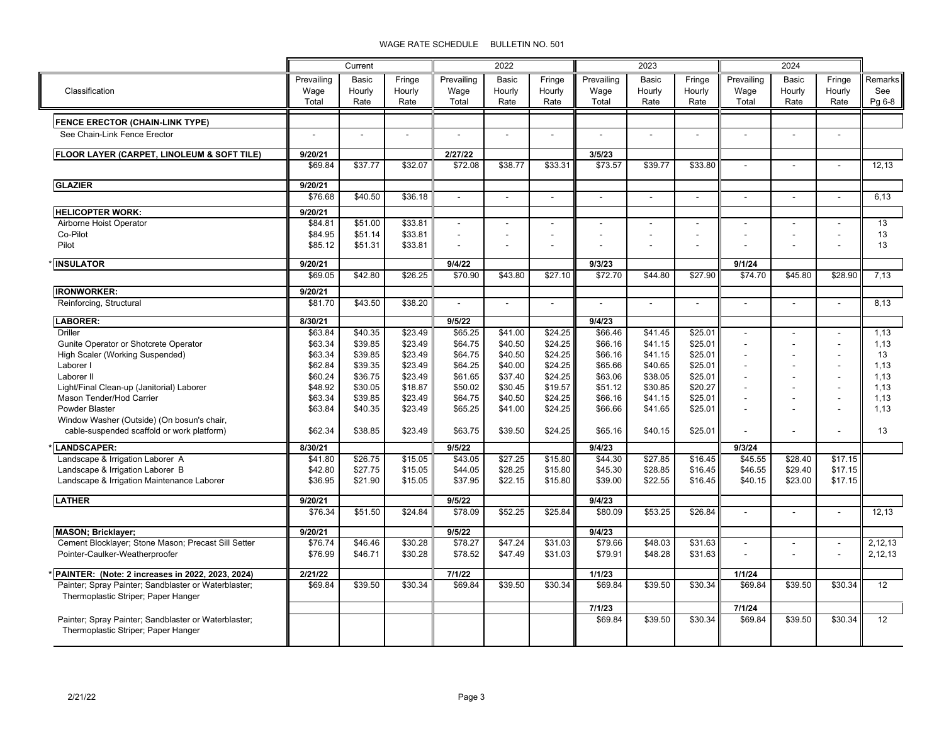|                                                      |            | Current |         | 2022                |                          |                | 2023       |                |                | 2024           |                          |                |                 |
|------------------------------------------------------|------------|---------|---------|---------------------|--------------------------|----------------|------------|----------------|----------------|----------------|--------------------------|----------------|-----------------|
|                                                      | Prevailing | Basic   | Fringe  | Prevailing          | <b>Basic</b>             | Fringe         | Prevailing | Basic          | Fringe         | Prevailing     | <b>Basic</b>             | Fringe         | Remarks         |
| Classification                                       | Wage       | Hourly  | Hourly  | Wage                | Hourly                   | Hourly         | Wage       | Hourly         | Hourly         | Wage           | Hourly                   | Hourly         | See             |
|                                                      | Total      | Rate    | Rate    | Total               | Rate                     | Rate           | Total      | Rate           | Rate           | Total          | Rate                     | Rate           | Pg 6-8          |
| FENCE ERECTOR (CHAIN-LINK TYPE)                      |            |         |         |                     |                          |                |            |                |                |                |                          |                |                 |
| See Chain-Link Fence Erector                         | $\sim$     |         |         |                     | $\overline{a}$           |                |            |                |                |                |                          | $\sim$         |                 |
|                                                      |            |         |         |                     |                          |                |            |                |                |                |                          |                |                 |
| FLOOR LAYER (CARPET, LINOLEUM & SOFT TILE)           | 9/20/21    |         |         | 2/27/22             |                          |                | 3/5/23     |                |                |                |                          |                |                 |
|                                                      | \$69.84    | \$37.77 | \$32.07 | \$72.08             | \$38.77                  | \$33.31        | \$73.57    | \$39.77        | \$33.80        |                |                          | $\mathbf{r}$   | 12.13           |
| <b>GLAZIER</b>                                       | 9/20/21    |         |         |                     |                          |                |            |                |                |                |                          |                |                 |
|                                                      | \$76.68    | \$40.50 | \$36.18 | $\blacksquare$      | $\blacksquare$           | $\overline{a}$ | $\sim$     | $\overline{a}$ |                | $\overline{a}$ | $\overline{a}$           | $\mathbf{r}$   | 6.13            |
| <b>HELICOPTER WORK:</b>                              | 9/20/21    |         |         |                     |                          |                |            |                |                |                |                          |                |                 |
| Airborne Hoist Operator                              | \$84.81    | \$51.00 | \$33.81 | $\overline{a}$      | ÷,                       |                |            |                |                |                |                          |                | 13              |
| Co-Pilot                                             | \$84.95    | \$51.14 | \$33.81 |                     | $\overline{\phantom{a}}$ |                |            | $\blacksquare$ | $\blacksquare$ |                | $\overline{\phantom{a}}$ |                | 13              |
| Pilot                                                | \$85.12    | \$51.31 | \$33.81 |                     | $\overline{a}$           |                |            |                |                |                |                          |                | 13              |
| <b>INSULATOR</b>                                     | 9/20/21    |         |         | 9/4/22              |                          |                | 9/3/23     |                |                | 9/1/24         |                          |                |                 |
|                                                      | \$69.05    | \$42.80 | \$26.25 | \$70.90             | \$43.80                  | \$27.10        | \$72.70    | \$44.80        | \$27.90        | \$74.70        | \$45.80                  | \$28.90        | 7,13            |
| <b>IRONWORKER:</b>                                   | 9/20/21    |         |         |                     |                          |                |            |                |                |                |                          |                |                 |
| Reinforcing, Structural                              | \$81.70    | \$43.50 | \$38.20 | $\overline{a}$      | $\overline{a}$           | $\overline{a}$ |            | $\overline{a}$ | $\overline{a}$ | $\overline{a}$ | $\overline{a}$           | $\overline{a}$ | 8.13            |
| <b>LABORER:</b>                                      | 8/30/21    |         |         | 9/5/22              |                          |                | 9/4/23     |                |                |                |                          |                |                 |
| Driller                                              | \$63.84    | \$40.35 | \$23.49 | $\overline{$65.25}$ | \$41.00                  | \$24.25        | \$66.46    | \$41.45        | \$25.01        |                | $\overline{\phantom{a}}$ |                | 1,13            |
| Gunite Operator or Shotcrete Operator                | \$63.34    | \$39.85 | \$23.49 | \$64.75             | \$40.50                  | \$24.25        | \$66.16    | \$41.15        | \$25.01        |                | $\overline{a}$           |                | 1,13            |
| High Scaler (Working Suspended)                      | \$63.34    | \$39.85 | \$23.49 | \$64.75             | \$40.50                  | \$24.25        | \$66.16    | \$41.15        | \$25.01        |                |                          |                | 13              |
| Laborer I                                            | \$62.84    | \$39.35 | \$23.49 | \$64.25             | \$40.00                  | \$24.25        | \$65.66    | \$40.65        | \$25.01        |                |                          |                | 1,13            |
| Laborer II                                           | \$60.24    | \$36.75 | \$23.49 | \$61.65             | \$37.40                  | \$24.25        | \$63.06    | \$38.05        | \$25.01        | ÷,             | $\overline{\phantom{a}}$ |                | 1,13            |
| Light/Final Clean-up (Janitorial) Laborer            | \$48.92    | \$30.05 | \$18.87 | \$50.02             | \$30.45                  | \$19.57        | \$51.12    | \$30.85        | \$20.27        | ÷              | $\blacksquare$           |                | 1.13            |
| Mason Tender/Hod Carrier                             | \$63.34    | \$39.85 | \$23.49 | \$64.75             | \$40.50                  | \$24.25        | \$66.16    | \$41.15        | \$25.01        | $\overline{a}$ | $\overline{a}$           | $\overline{a}$ | 1,13            |
| Powder Blaster                                       | \$63.84    | \$40.35 | \$23.49 | \$65.25             | \$41.00                  | \$24.25        | \$66.66    | \$41.65        | \$25.01        |                | $\overline{a}$           |                | 1,13            |
| Window Washer (Outside) (On bosun's chair,           |            |         |         |                     |                          |                |            |                |                |                |                          |                |                 |
| cable-suspended scaffold or work platform)           | \$62.34    | \$38.85 | \$23.49 | \$63.75             | \$39.50                  | \$24.25        | \$65.16    | \$40.15        | \$25.01        |                | $\blacksquare$           |                | 13              |
| <b>LANDSCAPER:</b>                                   | 8/30/21    |         |         | 9/5/22              |                          |                | 9/4/23     |                |                | 9/3/24         |                          |                |                 |
| Landscape & Irrigation Laborer A                     | \$41.80    | \$26.75 | \$15.05 | \$43.05             | \$27.25                  | \$15.80        | \$44.30    | \$27.85        | \$16.45        | \$45.55        | \$28.40                  | \$17.15        |                 |
| Landscape & Irrigation Laborer B                     | \$42.80    | \$27.75 | \$15.05 | \$44.05             | \$28.25                  | \$15.80        | \$45.30    | \$28.85        | \$16.45        | \$46.55        | \$29.40                  | \$17.15        |                 |
| Landscape & Irrigation Maintenance Laborer           | \$36.95    | \$21.90 | \$15.05 | \$37.95             | \$22.15                  | \$15.80        | \$39.00    | \$22.55        | \$16.45        | \$40.15        | \$23.00                  | \$17.15        |                 |
| <b>LATHER</b>                                        | 9/20/21    |         |         | 9/5/22              |                          |                | 9/4/23     |                |                |                |                          |                |                 |
|                                                      | \$76.34    | \$51.50 | \$24.84 | \$78.09             | \$52.25                  | \$25.84        | \$80.09    | \$53.25        | \$26.84        |                | $\overline{a}$           | $\mathbf{r}$   | 12,13           |
| <b>MASON</b> ; Bricklayer;                           | 9/20/21    |         |         | 9/5/22              |                          |                | 9/4/23     |                |                |                |                          |                |                 |
| Cement Blocklayer; Stone Mason; Precast Sill Setter  | \$76.74    | \$46.46 | \$30.28 | \$78.27             | \$47.24                  | \$31.03        | \$79.66    | \$48.03        | \$31.63        | ÷              | ÷.                       | $\mathbf{r}$   | 2,12,13         |
| Pointer-Caulker-Weatherproofer                       | \$76.99    | \$46.71 | \$30.28 | \$78.52             | \$47.49                  | \$31.03        | \$79.91    | \$48.28        | \$31.63        |                |                          | $\overline{a}$ | 2,12,13         |
| PAINTER: (Note: 2 increases in 2022, 2023, 2024)     | 2/21/22    |         |         | 7/1/22              |                          |                | 1/1/23     |                |                | 1/1/24         |                          |                |                 |
| Painter; Spray Painter; Sandblaster or Waterblaster; | \$69.84    | \$39.50 | \$30.34 | \$69.84             | \$39.50                  | \$30.34        | \$69.84    | \$39.50        | \$30.34        | \$69.84        | \$39.50                  | \$30.34        | $\overline{12}$ |
| Thermoplastic Striper; Paper Hanger                  |            |         |         |                     |                          |                |            |                |                |                |                          |                |                 |
|                                                      |            |         |         |                     |                          |                | 7/1/23     |                |                | 7/1/24         |                          |                |                 |
| Painter; Spray Painter; Sandblaster or Waterblaster; |            |         |         |                     |                          |                | \$69.84    | \$39.50        | \$30.34        | \$69.84        | \$39.50                  | \$30.34        | 12              |
| Thermoplastic Striper; Paper Hanger                  |            |         |         |                     |                          |                |            |                |                |                |                          |                |                 |
|                                                      |            |         |         |                     |                          |                |            |                |                |                |                          |                |                 |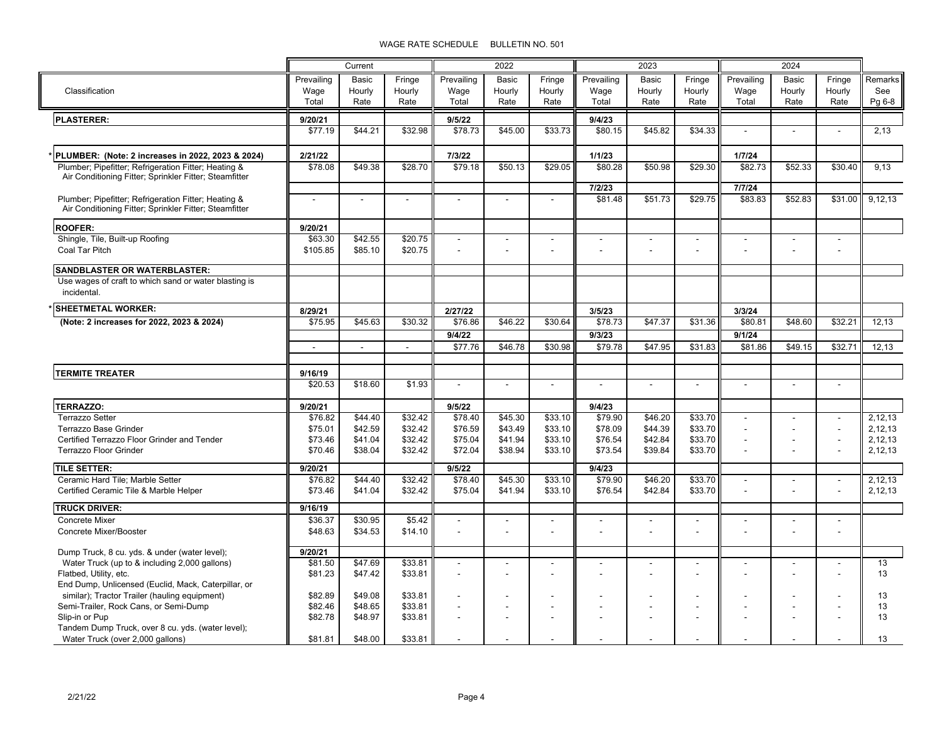|                                                                                                                |            | Current | 2022    |                | 2023                     |                          |                   | 2024           |         |                          |                          |                          |         |
|----------------------------------------------------------------------------------------------------------------|------------|---------|---------|----------------|--------------------------|--------------------------|-------------------|----------------|---------|--------------------------|--------------------------|--------------------------|---------|
|                                                                                                                | Prevailing | Basic   | Fringe  | Prevailing     | Basic                    | Fringe                   | Prevailing        | <b>Basic</b>   | Fringe  | Prevailing               | Basic                    | Fringe                   | Remarks |
| Classification                                                                                                 | Wage       | Hourly  | Hourly  | Wage           | Hourly                   | Hourly                   | Wage              | Hourly         | Hourly  | Wage                     | Hourly                   | Hourly                   | See     |
|                                                                                                                | Total      | Rate    | Rate    | Total          | Rate                     | Rate                     | Total             | Rate           | Rate    | Total                    | Rate                     | Rate                     | Pg 6-8  |
| <b>PLASTERER:</b>                                                                                              | 9/20/21    |         |         | 9/5/22         |                          |                          | 9/4/23            |                |         |                          |                          |                          |         |
|                                                                                                                | \$77.19    | \$44.21 | \$32.98 | \$78.73        | \$45.00                  | \$33.73                  | \$80.15           | \$45.82        | \$34.33 |                          | $\overline{a}$           | $\overline{a}$           | 2,13    |
|                                                                                                                |            |         |         |                |                          |                          |                   |                |         |                          |                          |                          |         |
| PLUMBER: (Note: 2 increases in 2022, 2023 & 2024)                                                              | 2/21/22    |         |         | 7/3/22         |                          |                          | 1/1/23            |                |         | 1/7/24                   |                          |                          |         |
| Plumber; Pipefitter; Refrigeration Fitter; Heating &<br>Air Conditioning Fitter; Sprinkler Fitter; Steamfitter | \$78.08    | \$49.38 | \$28.70 | \$79.18        | \$50.13                  | \$29.05                  | \$80.28           | \$50.98        | \$29.30 | \$82.73                  | \$52.33                  | \$30.40                  | 9,13    |
| Plumber; Pipefitter; Refrigeration Fitter; Heating &                                                           |            |         |         |                | $\overline{a}$           |                          | 7/2/23<br>\$81.48 | \$51.73        | \$29.75 | 7/7/24<br>\$83.83        | \$52.83                  | \$31.00                  | 9,12,13 |
| Air Conditioning Fitter; Sprinkler Fitter; Steamfitter                                                         |            |         |         |                |                          |                          |                   |                |         |                          |                          |                          |         |
| <b>ROOFER:</b>                                                                                                 | 9/20/21    |         |         |                |                          |                          |                   |                |         |                          |                          |                          |         |
| Shingle, Tile, Built-up Roofing                                                                                | \$63.30    | \$42.55 | \$20.75 | L.             | $\overline{\phantom{a}}$ | $\overline{\phantom{a}}$ |                   | $\blacksquare$ |         |                          | $\overline{\phantom{a}}$ | $\overline{\phantom{a}}$ |         |
| Coal Tar Pitch                                                                                                 | \$105.85   | \$85.10 | \$20.75 |                | $\blacksquare$           | $\blacksquare$           |                   |                |         |                          |                          | $\blacksquare$           |         |
| <b>SANDBLASTER OR WATERBLASTER:</b>                                                                            |            |         |         |                |                          |                          |                   |                |         |                          |                          |                          |         |
| Use wages of craft to which sand or water blasting is                                                          |            |         |         |                |                          |                          |                   |                |         |                          |                          |                          |         |
| incidental.                                                                                                    |            |         |         |                |                          |                          |                   |                |         |                          |                          |                          |         |
| <b>SHEETMETAL WORKER:</b>                                                                                      | 8/29/21    |         |         | 2/27/22        |                          |                          | 3/5/23            |                |         | 3/3/24                   |                          |                          |         |
| (Note: 2 increases for 2022, 2023 & 2024)                                                                      | \$75.95    | \$45.63 | \$30.32 | \$76.86        | \$46.22                  | \$30.64                  | \$78.73           | \$47.37        | \$31.36 | \$80.81                  | \$48.60                  | \$32.21                  | 12.13   |
|                                                                                                                |            |         |         | 9/4/22         |                          |                          | 9/3/23            |                |         | 9/1/24                   |                          |                          |         |
|                                                                                                                |            |         |         | \$77.76        | \$46.78                  | \$30.98                  | \$79.78           | \$47.95        | \$31.83 | \$81.86                  | \$49.15                  | \$32.71                  | 12,13   |
|                                                                                                                |            |         |         |                |                          |                          |                   |                |         |                          |                          |                          |         |
| <b>TERMITE TREATER</b>                                                                                         | 9/16/19    |         |         |                |                          |                          |                   |                |         |                          |                          |                          |         |
|                                                                                                                | \$20.53    | \$18.60 | \$1.93  | $\overline{a}$ | $\blacksquare$           | $\blacksquare$           | $\blacksquare$    | $\blacksquare$ |         | $\blacksquare$           | $\blacksquare$           | $\sim$                   |         |
| <b>TERRAZZO:</b>                                                                                               | 9/20/21    |         |         | 9/5/22         |                          |                          | 9/4/23            |                |         |                          |                          |                          |         |
| <b>Terrazzo Setter</b>                                                                                         | \$76.82    | \$44.40 | \$32.42 | \$78.40        | \$45.30                  | \$33.10                  | \$79.90           | \$46.20        | \$33.70 |                          |                          |                          | 2,12,13 |
| Terrazzo Base Grinder                                                                                          | \$75.01    | \$42.59 | \$32.42 | \$76.59        | \$43.49                  | \$33.10                  | \$78.09           | \$44.39        | \$33.70 | $\overline{a}$           |                          | ÷.                       | 2,12,13 |
| Certified Terrazzo Floor Grinder and Tender                                                                    | \$73.46    | \$41.04 | \$32.42 | \$75.04        | \$41.94                  | \$33.10                  | \$76.54           | \$42.84        | \$33.70 | $\overline{\phantom{a}}$ | ÷                        | $\overline{\phantom{a}}$ | 2,12,13 |
| <b>Terrazzo Floor Grinder</b>                                                                                  | \$70.46    | \$38.04 | \$32.42 | \$72.04        | \$38.94                  | \$33.10                  | \$73.54           | \$39.84        | \$33.70 |                          |                          |                          | 2,12,13 |
| <b>TILE SETTER:</b>                                                                                            | 9/20/21    |         |         | 9/5/22         |                          |                          | 9/4/23            |                |         |                          |                          |                          |         |
| Ceramic Hard Tile; Marble Setter                                                                               | \$76.82    | \$44.40 | \$32.42 | \$78.40        | \$45.30                  | \$33.10                  | \$79.90           | \$46.20        | \$33.70 | $\overline{\phantom{a}}$ | $\blacksquare$           | $\overline{\phantom{a}}$ | 2,12,13 |
| Certified Ceramic Tile & Marble Helper                                                                         | \$73.46    | \$41.04 | \$32.42 | \$75.04        | \$41.94                  | \$33.10                  | \$76.54           | \$42.84        | \$33.70 |                          |                          |                          | 2,12,13 |
| <b>TRUCK DRIVER:</b>                                                                                           | 9/16/19    |         |         |                |                          |                          |                   |                |         |                          |                          |                          |         |
| <b>Concrete Mixer</b>                                                                                          | \$36.37    | \$30.95 | \$5.42  |                |                          |                          |                   |                |         |                          |                          |                          |         |
| Concrete Mixer/Booster                                                                                         | \$48.63    | \$34.53 | \$14.10 | $\blacksquare$ | $\blacksquare$           |                          |                   |                |         | $\sim$                   |                          |                          |         |
| Dump Truck, 8 cu. yds. & under (water level);                                                                  | 9/20/21    |         |         |                |                          |                          |                   |                |         |                          |                          |                          |         |
| Water Truck (up to & including 2,000 gallons)                                                                  | \$81.50    | \$47.69 | \$33.81 |                | ÷,                       |                          |                   |                |         |                          | $\blacksquare$           | $\blacksquare$           | 13      |
| Flatbed, Utility, etc.                                                                                         | \$81.23    | \$47.42 | \$33.81 | L.             | ÷,                       |                          |                   |                |         |                          |                          |                          | 13      |
| End Dump, Unlicensed (Euclid, Mack, Caterpillar, or                                                            |            |         |         |                |                          |                          |                   |                |         |                          |                          |                          |         |
| similar); Tractor Trailer (hauling equipment)                                                                  | \$82.89    | \$49.08 | \$33.81 |                | $\blacksquare$           |                          |                   |                |         |                          | $\overline{\phantom{a}}$ |                          | 13      |
| Semi-Trailer, Rock Cans, or Semi-Dump                                                                          | \$82.46    | \$48.65 | \$33.81 | $\overline{a}$ | $\blacksquare$           | $\blacksquare$           | ÷,                |                |         | $\sim$                   | $\blacksquare$           | ÷,                       | 13      |
| Slip-in or Pup                                                                                                 | \$82.78    | \$48.97 | \$33.81 |                |                          |                          |                   |                |         |                          |                          |                          | 13      |
| Tandem Dump Truck, over 8 cu. yds. (water level);                                                              |            |         |         |                |                          |                          |                   |                |         |                          |                          |                          |         |
| Water Truck (over 2,000 gallons)                                                                               | \$81.81    | \$48.00 | \$33.81 |                |                          |                          |                   |                |         |                          |                          |                          | 13      |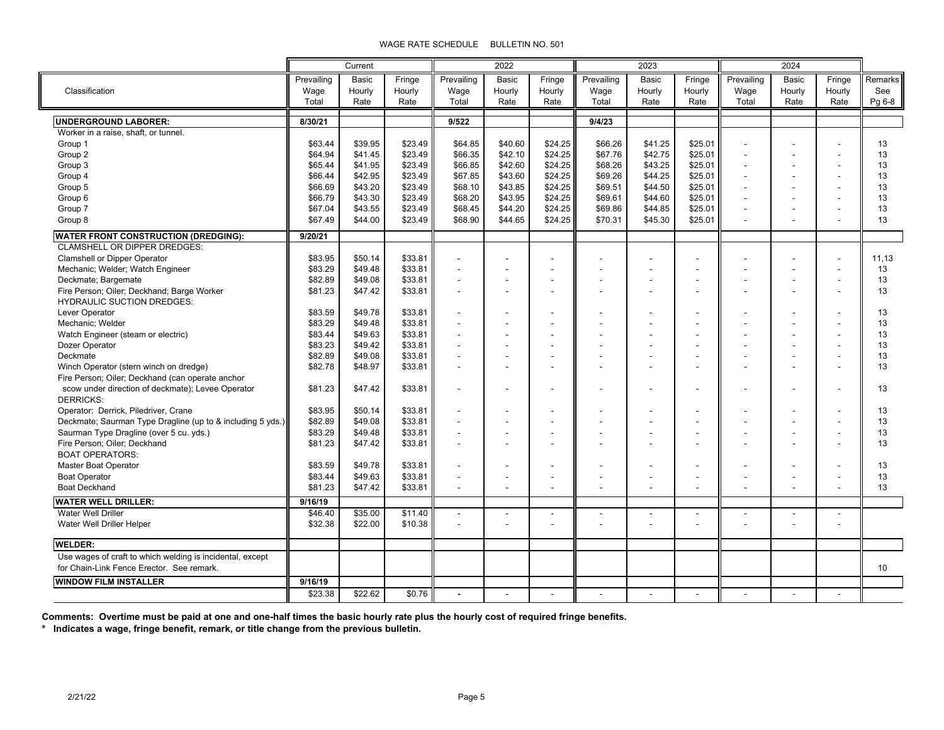|                                                            |            | Current |         | 2022           |         | 2023    |            |         | 2024    |            |                              |                |         |
|------------------------------------------------------------|------------|---------|---------|----------------|---------|---------|------------|---------|---------|------------|------------------------------|----------------|---------|
|                                                            | Prevailing | Basic   | Fringe  | Prevailing     | Basic   | Fringe  | Prevailing | Basic   | Fringe  | Prevailing | Basic                        | Fringe         | Remarks |
| Classification                                             | Wage       | Hourly  | Hourly  | Wage           | Hourly  | Hourly  | Wage       | Hourly  | Hourly  | Wage       | Hourly                       | Hourly         | See     |
|                                                            | Total      | Rate    | Rate    | Total          | Rate    | Rate    | Total      | Rate    | Rate    | Total      | Rate                         | Rate           | Pg 6-8  |
| <b>UNDERGROUND LABORER:</b>                                | 8/30/21    |         |         | 9/522          |         |         | 9/4/23     |         |         |            |                              |                |         |
| Worker in a raise, shaft, or tunnel.                       |            |         |         |                |         |         |            |         |         |            |                              |                |         |
| Group 1                                                    | \$63.44    | \$39.95 | \$23.49 | \$64.85        | \$40.60 | \$24.25 | \$66.26    | \$41.25 | \$25.01 |            |                              |                | 13      |
| Group 2                                                    | \$64.94    | \$41.45 | \$23.49 | \$66.35        | \$42.10 | \$24.25 | \$67.76    | \$42.75 | \$25.01 |            |                              |                | 13      |
| Group 3                                                    | \$65.44    | \$41.95 | \$23.49 | \$66.85        | \$42.60 | \$24.25 | \$68.26    | \$43.25 | \$25.01 |            |                              |                | 13      |
| Group 4                                                    | \$66.44    | \$42.95 | \$23.49 | \$67.85        | \$43.60 | \$24.25 | \$69.26    | \$44.25 | \$25.01 |            |                              |                | 13      |
| Group 5                                                    | \$66.69    | \$43.20 | \$23.49 | \$68.10        | \$43.85 | \$24.25 | \$69.51    | \$44.50 | \$25.01 |            |                              |                | 13      |
| Group 6                                                    | \$66.79    | \$43.30 | \$23.49 | \$68.20        | \$43.95 | \$24.25 | \$69.61    | \$44.60 | \$25.01 |            |                              |                | 13      |
| Group 7                                                    | \$67.04    | \$43.55 | \$23.49 | \$68.45        | \$44.20 | \$24.25 | \$69.86    | \$44.85 | \$25.01 | ٠          |                              |                | 13      |
| Group 8                                                    | \$67.49    | \$44.00 | \$23.49 | \$68.90        | \$44.65 | \$24.25 | \$70.31    | \$45.30 | \$25.01 |            |                              |                | 13      |
| <b>WATER FRONT CONSTRUCTION (DREDGING):</b>                | 9/20/21    |         |         |                |         |         |            |         |         |            |                              |                |         |
| <b>CLAMSHELL OR DIPPER DREDGES:</b>                        |            |         |         |                |         |         |            |         |         |            |                              |                |         |
| <b>Clamshell or Dipper Operator</b>                        | \$83.95    | \$50.14 | \$33.81 |                |         |         |            |         |         |            |                              |                | 11,13   |
| Mechanic; Welder; Watch Engineer                           | \$83.29    | \$49.48 | \$33.81 |                |         |         |            |         |         |            |                              |                | 13      |
| Deckmate; Bargemate                                        | \$82.89    | \$49.08 | \$33.81 | $\blacksquare$ |         |         |            |         |         |            |                              |                | 13      |
| Fire Person; Oiler; Deckhand; Barge Worker                 | \$81.23    | \$47.42 | \$33.81 |                |         |         |            |         |         |            |                              |                | 13      |
| <b>HYDRAULIC SUCTION DREDGES:</b>                          |            |         |         |                |         |         |            |         |         |            |                              |                |         |
| Lever Operator                                             | \$83.59    | \$49.78 | \$33.81 |                |         |         |            |         |         |            |                              |                | 13      |
| Mechanic: Welder                                           | \$83.29    | \$49.48 | \$33.81 | $\overline{a}$ |         |         |            |         |         |            |                              |                | 13      |
| Watch Engineer (steam or electric)                         | \$83.44    | \$49.63 | \$33.81 | $\overline{a}$ |         |         |            |         |         |            |                              |                | 13      |
| Dozer Operator                                             | \$83.23    | \$49.42 | \$33.81 | $\overline{a}$ |         |         |            |         |         |            |                              |                | 13      |
| Deckmate                                                   | \$82.89    | \$49.08 | \$33.81 |                |         |         |            |         |         |            |                              |                | 13      |
| Winch Operator (stern winch on dredge)                     | \$82.78    | \$48.97 | \$33.81 |                |         |         |            |         |         |            |                              |                | 13      |
| Fire Person; Oiler; Deckhand (can operate anchor           |            |         |         |                |         |         |            |         |         |            |                              |                |         |
| scow under direction of deckmate); Levee Operator          | \$81.23    | \$47.42 | \$33.81 | $\blacksquare$ |         |         |            |         |         |            |                              |                | 13      |
| <b>DERRICKS:</b>                                           |            |         |         |                |         |         |            |         |         |            |                              |                |         |
| Operator: Derrick, Piledriver, Crane                       | \$83.95    | \$50.14 | \$33.81 | $\blacksquare$ |         |         |            |         |         |            |                              |                | 13      |
| Deckmate; Saurman Type Dragline (up to & including 5 yds.) | \$82.89    | \$49.08 | \$33.81 |                |         |         |            |         |         |            |                              |                | 13      |
| Saurman Type Dragline (over 5 cu. yds.)                    | \$83.29    | \$49.48 | \$33.81 | $\blacksquare$ |         |         |            |         |         |            |                              |                | 13      |
| Fire Person; Oiler; Deckhand                               | \$81.23    | \$47.42 | \$33.81 |                |         |         |            |         |         |            |                              |                | 13      |
| <b>BOAT OPERATORS:</b>                                     |            |         |         |                |         |         |            |         |         |            |                              |                |         |
| Master Boat Operator                                       | \$83.59    | \$49.78 | \$33.81 |                |         |         |            |         |         |            |                              |                | 13      |
| <b>Boat Operator</b>                                       | \$83.44    | \$49.63 | \$33.81 | $\blacksquare$ |         |         |            |         |         |            |                              |                | 13      |
| <b>Boat Deckhand</b>                                       | \$81.23    | \$47.42 | \$33.81 | $\blacksquare$ |         |         |            |         |         |            |                              |                | 13      |
| <b>WATER WELL DRILLER:</b>                                 | 9/16/19    |         |         |                |         |         |            |         |         |            |                              |                |         |
| Water Well Driller                                         | \$46.40    | \$35.00 | \$11.40 | L,             |         |         |            | ÷,      |         |            | $\qquad \qquad \blacksquare$ | $\blacksquare$ |         |
| Water Well Driller Helper                                  | \$32.38    | \$22.00 | \$10.38 |                |         |         |            |         |         |            |                              |                |         |
| <b>WELDER:</b>                                             |            |         |         |                |         |         |            |         |         |            |                              |                |         |
| Use wages of craft to which welding is incidental, except  |            |         |         |                |         |         |            |         |         |            |                              |                |         |
| for Chain-Link Fence Erector. See remark.                  |            |         |         |                |         |         |            |         |         |            |                              |                | 10      |
| <b>WINDOW FILM INSTALLER</b>                               | 9/16/19    |         |         |                |         |         |            |         |         |            |                              |                |         |
|                                                            | \$23.38    | \$22.62 | \$0.76  |                |         |         |            |         |         |            |                              |                |         |

**Comments: Overtime must be paid at one and one-half times the basic hourly rate plus the hourly cost of required fringe benefits.**

**\* Indicates a wage, fringe benefit, remark, or title change from the previous bulletin.**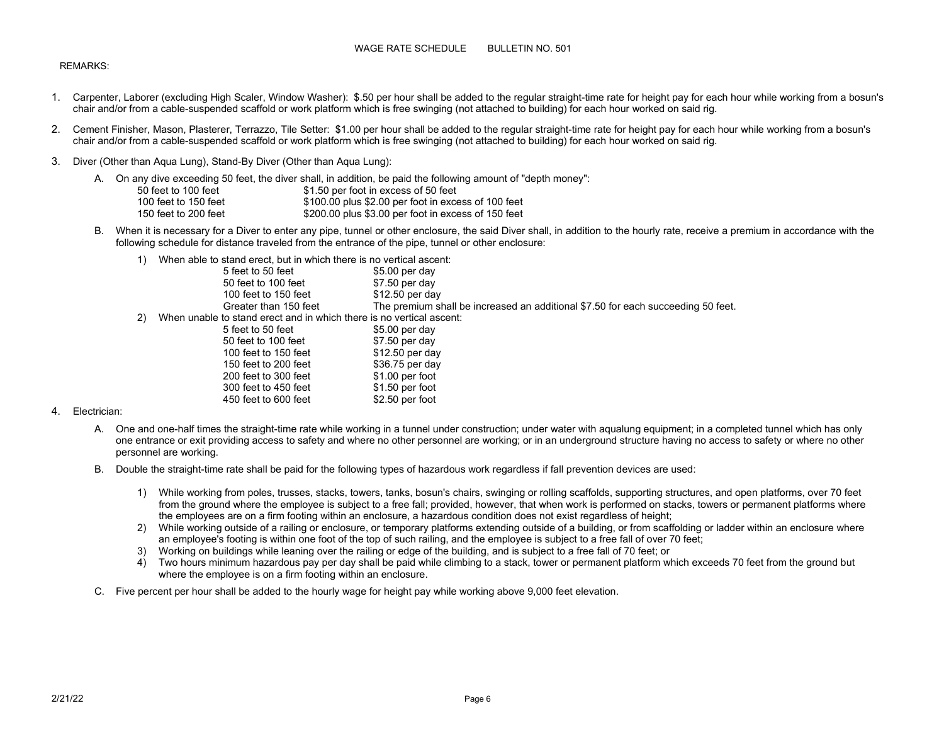# REMARKS:

- 1. Carpenter, Laborer (excluding High Scaler, Window Washer): \$.50 per hour shall be added to the regular straight-time rate for height pay for each hour while working from a bosun's chair and/or from a cable-suspended scaffold or work platform which is free swinging (not attached to building) for each hour worked on said rig.
- 2. Cement Finisher, Mason, Plasterer, Terrazzo, Tile Setter: \$1.00 per hour shall be added to the regular straight-time rate for height pay for each hour while working from a bosun's chair and/or from a cable-suspended scaffold or work platform which is free swinging (not attached to building) for each hour worked on said rig.
- 3. Diver (Other than Aqua Lung), Stand-By Diver (Other than Aqua Lung):

|                      | A.    On any dive exceeding 50 feet, the diver shall, in addition, be paid the following amount of "depth money": |
|----------------------|-------------------------------------------------------------------------------------------------------------------|
| 50 feet to 100 feet  | \$1.50 per foot in excess of 50 feet                                                                              |
| 100 feet to 150 feet | \$100.00 plus \$2.00 per foot in excess of 100 feet                                                               |
| 150 feet to 200 feet | \$200.00 plus \$3.00 per foot in excess of 150 feet                                                               |

- B. When it is necessary for a Diver to enter any pipe, tunnel or other enclosure, the said Diver shall, in addition to the hourly rate, receive a premium in accordance with the following schedule for distance traveled from the entrance of the pipe, tunnel or other enclosure:
	- 1) When able to stand erect, but in which there is no vertical ascent:

|    | 5 feet to 50 feet                                                    | $$5.00$ per day                                                                  |
|----|----------------------------------------------------------------------|----------------------------------------------------------------------------------|
|    | 50 feet to 100 feet                                                  | $$7.50$ per day                                                                  |
|    | 100 feet to 150 feet                                                 | $$12.50$ per day                                                                 |
|    | Greater than 150 feet                                                | The premium shall be increased an additional \$7.50 for each succeeding 50 feet. |
| 2) | When unable to stand erect and in which there is no vertical ascent: |                                                                                  |
|    | 5 feet to 50 feet                                                    | $$5.00$ per day                                                                  |
|    | 50 feet to 100 feet                                                  | $$7.50$ per day                                                                  |
|    | 100 feet to 150 feet                                                 | $$12.50$ per day                                                                 |
|    | 150 feet to 200 feet                                                 | \$36.75 per day                                                                  |
|    | 200 feet to 300 feet                                                 | $$1.00$ per foot                                                                 |
|    | 300 feet to 450 feet                                                 | \$1.50 per foot                                                                  |
|    | 450 feet to 600 feet                                                 | $$2.50$ per foot                                                                 |

## 4. Electrician:

- A. One and one-half times the straight-time rate while working in a tunnel under construction; under water with aqualung equipment; in a completed tunnel which has only one entrance or exit providing access to safety and where no other personnel are working; or in an underground structure having no access to safety or where no other personnel are working.
- B. Double the straight-time rate shall be paid for the following types of hazardous work regardless if fall prevention devices are used:
	- 1) While working from poles, trusses, stacks, towers, tanks, bosun's chairs, swinging or rolling scaffolds, supporting structures, and open platforms, over 70 feet from the ground where the employee is subject to a free fall; provided, however, that when work is performed on stacks, towers or permanent platforms where the employees are on a firm footing within an enclosure, a hazardous condition does not exist regardless of height;
	- 2) While working outside of a railing or enclosure, or temporary platforms extending outside of a building, or from scaffolding or ladder within an enclosure where an employee's footing is within one foot of the top of such railing, and the employee is subject to a free fall of over 70 feet;
	- 3) Working on buildings while leaning over the railing or edge of the building, and is subject to a free fall of 70 feet; or
	- 4) Two hours minimum hazardous pay per day shall be paid while climbing to a stack, tower or permanent platform which exceeds 70 feet from the ground but where the employee is on a firm footing within an enclosure.
- C. Five percent per hour shall be added to the hourly wage for height pay while working above 9,000 feet elevation.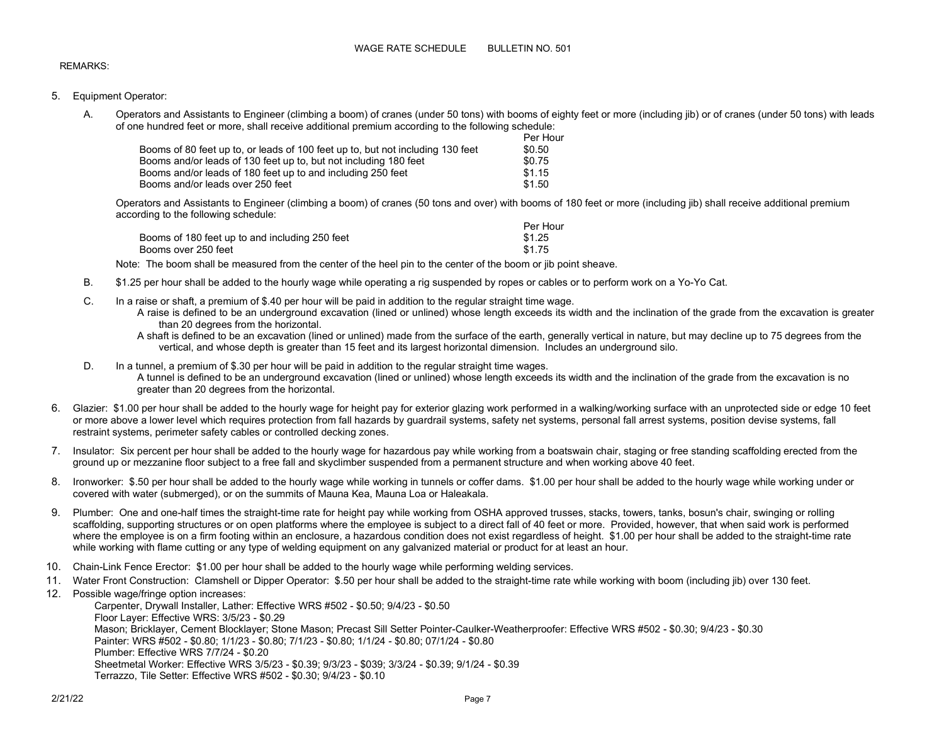## REMARKS:

- 5. Equipment Operator:
	- A. Operators and Assistants to Engineer (climbing a boom) of cranes (under 50 tons) with booms of eighty feet or more (including jib) or of cranes (under 50 tons) with leads of one hundred feet or more, shall receive additional premium according to the following schedule:

|                                                                                |  | Per Hour |
|--------------------------------------------------------------------------------|--|----------|
| Booms of 80 feet up to, or leads of 100 feet up to, but not including 130 feet |  | \$0.50   |
| Booms and/or leads of 130 feet up to, but not including 180 feet               |  | \$0.75   |
| Booms and/or leads of 180 feet up to and including 250 feet                    |  | \$1.15   |
| Booms and/or leads over 250 feet                                               |  | \$1.50   |

Operators and Assistants to Engineer (climbing a boom) of cranes (50 tons and over) with booms of 180 feet or more (including jib) shall receive additional premium according to the following schedule:

|                                                | Per Hour |
|------------------------------------------------|----------|
| Booms of 180 feet up to and including 250 feet | \$1.25   |
| Booms over 250 feet                            | \$1.75   |

Note: The boom shall be measured from the center of the heel pin to the center of the boom or jib point sheave.

- B. \$1.25 per hour shall be added to the hourly wage while operating a rig suspended by ropes or cables or to perform work on a Yo-Yo Cat.
- C. In a raise or shaft, a premium of \$.40 per hour will be paid in addition to the regular straight time wage.
	- A raise is defined to be an underground excavation (lined or unlined) whose length exceeds its width and the inclination of the grade from the excavation is greater than 20 degrees from the horizontal.

A shaft is defined to be an excavation (lined or unlined) made from the surface of the earth, generally vertical in nature, but may decline up to 75 degrees from the vertical, and whose depth is greater than 15 feet and its largest horizontal dimension. Includes an underground silo.

- D. In a tunnel, a premium of \$.30 per hour will be paid in addition to the regular straight time wages. A tunnel is defined to be an underground excavation (lined or unlined) whose length exceeds its width and the inclination of the grade from the excavation is no greater than 20 degrees from the horizontal.
- 6. Glazier: \$1.00 per hour shall be added to the hourly wage for height pay for exterior glazing work performed in a walking/working surface with an unprotected side or edge 10 feet or more above a lower level which requires protection from fall hazards by guardrail systems, safety net systems, personal fall arrest systems, position devise systems, fall restraint systems, perimeter safety cables or controlled decking zones.
- 7. Insulator: Six percent per hour shall be added to the hourly wage for hazardous pay while working from a boatswain chair, staging or free standing scaffolding erected from the ground up or mezzanine floor subject to a free fall and skyclimber suspended from a permanent structure and when working above 40 feet.
- 8. Ironworker: \$.50 per hour shall be added to the hourly wage while working in tunnels or coffer dams. \$1.00 per hour shall be added to the hourly wage while working under or covered with water (submerged), or on the summits of Mauna Kea, Mauna Loa or Haleakala.
- 9. Plumber: One and one-half times the straight-time rate for height pay while working from OSHA approved trusses, stacks, towers, tanks, bosun's chair, swinging or rolling scaffolding, supporting structures or on open platforms where the employee is subject to a direct fall of 40 feet or more. Provided, however, that when said work is performed where the employee is on a firm footing within an enclosure, a hazardous condition does not exist regardless of height. \$1.00 per hour shall be added to the straight-time rate while working with flame cutting or any type of welding equipment on any galvanized material or product for at least an hour.
- 10. Chain-Link Fence Erector: \$1.00 per hour shall be added to the hourly wage while performing welding services.
- 11. Water Front Construction: Clamshell or Dipper Operator: \$.50 per hour shall be added to the straight-time rate while working with boom (including jib) over 130 feet.
- 12. Possible wage/fringe option increases: Carpenter, Drywall Installer, Lather: Effective WRS #502 - \$0.50; 9/4/23 - \$0.50 Floor Layer: Effective WRS: 3/5/23 - \$0.29 Mason; Bricklayer, Cement Blocklayer; Stone Mason; Precast Sill Setter Pointer-Caulker-Weatherproofer: Effective WRS #502 - \$0.30; 9/4/23 - \$0.30 Painter: WRS #502 - \$0.80; 1/1/23 - \$0.80; 7/1/23 - \$0.80; 1/1/24 - \$0.80; 07/1/24 - \$0.80 Plumber: Effective WRS 7/7/24 - \$0.20 Sheetmetal Worker: Effective WRS 3/5/23 - \$0.39; 9/3/23 - \$039; 3/3/24 - \$0.39; 9/1/24 - \$0.39 Terrazzo, Tile Setter: Effective WRS #502 - \$0.30; 9/4/23 - \$0.10